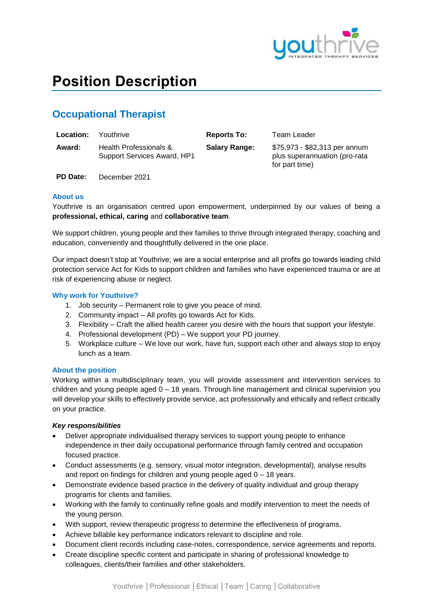

# **Position Description**

# **Occupational Therapist**

| <b>Location:</b> | Youthrive                                             | <b>Reports To:</b>   | Team Leader                                                                      |
|------------------|-------------------------------------------------------|----------------------|----------------------------------------------------------------------------------|
| Award:           | Health Professionals &<br>Support Services Award, HP1 | <b>Salary Range:</b> | \$75,973 - \$82,313 per annum<br>plus superannuation (pro-rata<br>for part time) |

**PD Date:** December 2021

### **About us**

Youthrive is an organisation centred upon empowerment, underpinned by our values of being a **professional, ethical, caring** and **collaborative team**.

We support children, young people and their families to thrive through integrated therapy, coaching and education, conveniently and thoughtfully delivered in the one place.

Our impact doesn't stop at Youthrive; we are a social enterprise and all profits go towards leading child protection service Act for Kids to support children and families who have experienced trauma or are at risk of experiencing abuse or neglect.

# **Why work for Youthrive?**

- 1. Job security Permanent role to give you peace of mind.
- 2. Community impact All profits go towards Act for Kids.
- 3. Flexibility Craft the allied health career you desire with the hours that support your lifestyle.
- 4. Professional development (PD) We support your PD journey.
- 5. Workplace culture We love our work, have fun, support each other and always stop to enjoy lunch as a team.

# **About the position**

Working within a multidisciplinary team, you will provide assessment and intervention services to children and young people aged  $0 - 18$  years. Through line management and clinical supervision you will develop your skills to effectively provide service, act professionally and ethically and reflect critically on your practice.

# *Key responsibilities*

- Deliver appropriate individualised therapy services to support young people to enhance independence in their daily occupational performance through family centred and occupation focused practice.
- Conduct assessments (e.g. sensory, visual motor integration, developmental), analyse results and report on findings for children and young people aged  $0 - 18$  years.
- Demonstrate evidence based practice in the delivery of quality individual and group therapy programs for clients and families.
- Working with the family to continually refine goals and modify intervention to meet the needs of the young person.
- With support, review therapeutic progress to determine the effectiveness of programs.
- Achieve billable key performance indicators relevant to discipline and role.
- Document client records including case-notes, correspondence, service agreements and reports.
- Create discipline specific content and participate in sharing of professional knowledge to colleagues, clients/their families and other stakeholders.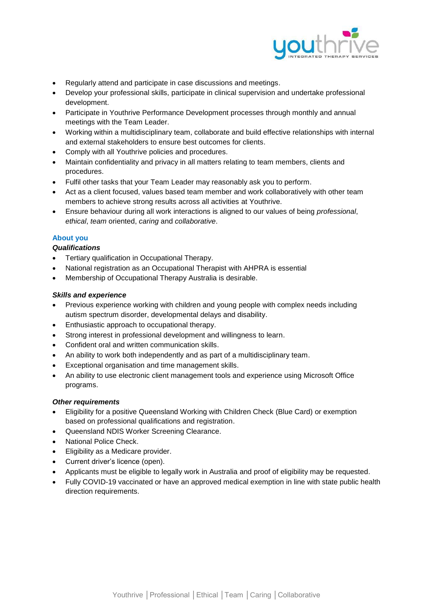

- Regularly attend and participate in case discussions and meetings.
- Develop your professional skills, participate in clinical supervision and undertake professional development.
- Participate in Youthrive Performance Development processes through monthly and annual meetings with the Team Leader.
- Working within a multidisciplinary team, collaborate and build effective relationships with internal and external stakeholders to ensure best outcomes for clients.
- Comply with all Youthrive policies and procedures.
- Maintain confidentiality and privacy in all matters relating to team members, clients and procedures.
- Fulfil other tasks that your Team Leader may reasonably ask you to perform.
- Act as a client focused, values based team member and work collaboratively with other team members to achieve strong results across all activities at Youthrive.
- Ensure behaviour during all work interactions is aligned to our values of being *professional*, *ethical*, *team* oriented, *caring* and *collaborative*.

# **About you**

# *Qualifications*

- Tertiary qualification in Occupational Therapy.
- National registration as an Occupational Therapist with AHPRA is essential
- Membership of Occupational Therapy Australia is desirable.

# *Skills and experience*

- Previous experience working with children and young people with complex needs including autism spectrum disorder, developmental delays and disability.
- Enthusiastic approach to occupational therapy.
- Strong interest in professional development and willingness to learn.
- Confident oral and written communication skills.
- An ability to work both independently and as part of a multidisciplinary team.
- Exceptional organisation and time management skills.
- An ability to use electronic client management tools and experience using Microsoft Office programs.

# *Other requirements*

- Eligibility for a positive Queensland Working with Children Check (Blue Card) or exemption based on professional qualifications and registration.
- Queensland NDIS Worker Screening Clearance.
- National Police Check.
- **Eligibility as a Medicare provider.**
- Current driver's licence (open).
- Applicants must be eligible to legally work in Australia and proof of eligibility may be requested.
- Fully COVID-19 vaccinated or have an approved medical exemption in line with state public health direction requirements.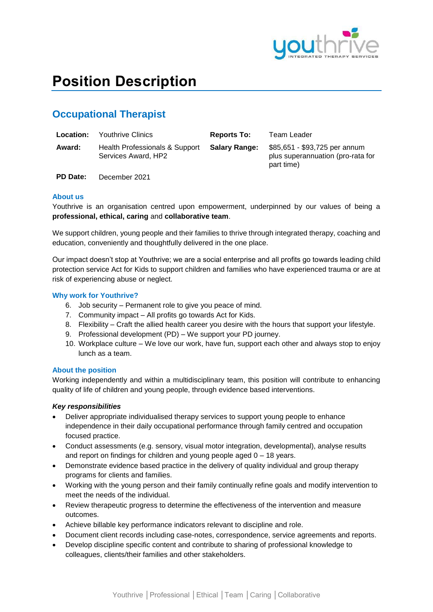

# **Position Description**

# **Occupational Therapist**

| Location: | <b>Youthrive Clinics</b>                              | <b>Reports To:</b>   | Team Leader                                                                      |
|-----------|-------------------------------------------------------|----------------------|----------------------------------------------------------------------------------|
| Award:    | Health Professionals & Support<br>Services Award, HP2 | <b>Salary Range:</b> | \$85,651 - \$93,725 per annum<br>plus superannuation (pro-rata for<br>part time) |

**PD Date:** December 2021

# **About us**

Youthrive is an organisation centred upon empowerment, underpinned by our values of being a **professional, ethical, caring** and **collaborative team**.

We support children, young people and their families to thrive through integrated therapy, coaching and education, conveniently and thoughtfully delivered in the one place.

Our impact doesn't stop at Youthrive; we are a social enterprise and all profits go towards leading child protection service Act for Kids to support children and families who have experienced trauma or are at risk of experiencing abuse or neglect.

# **Why work for Youthrive?**

- 6. Job security Permanent role to give you peace of mind.
- 7. Community impact All profits go towards Act for Kids.
- 8. Flexibility Craft the allied health career you desire with the hours that support your lifestyle.
- 9. Professional development (PD) We support your PD journey.
- 10. Workplace culture We love our work, have fun, support each other and always stop to enjoy lunch as a team.

### **About the position**

Working independently and within a multidisciplinary team, this position will contribute to enhancing quality of life of children and young people, through evidence based interventions.

#### *Key responsibilities*

- Deliver appropriate individualised therapy services to support young people to enhance independence in their daily occupational performance through family centred and occupation focused practice.
- Conduct assessments (e.g. sensory, visual motor integration, developmental), analyse results and report on findings for children and young people aged 0 – 18 years.
- Demonstrate evidence based practice in the delivery of quality individual and group therapy programs for clients and families.
- Working with the young person and their family continually refine goals and modify intervention to meet the needs of the individual.
- Review therapeutic progress to determine the effectiveness of the intervention and measure outcomes.
- Achieve billable key performance indicators relevant to discipline and role.
- Document client records including case-notes, correspondence, service agreements and reports.
- Develop discipline specific content and contribute to sharing of professional knowledge to colleagues, clients/their families and other stakeholders.